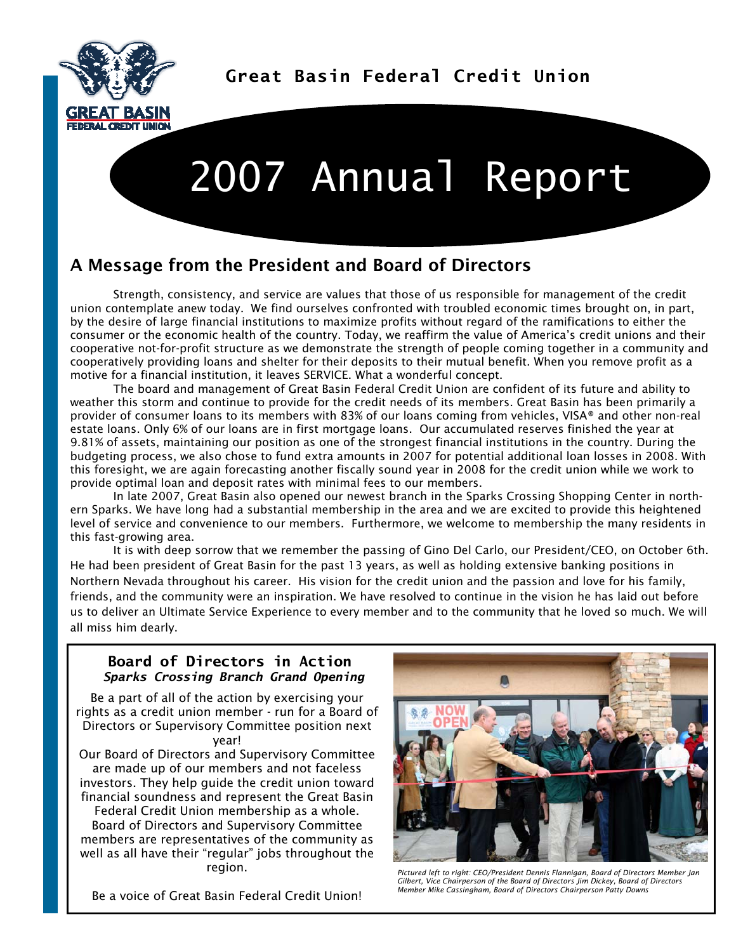

**Great Basin Federal Credit Union** 

## 2007 Annual Report

## A Message from the President and Board of Directors

 Strength, consistency, and service are values that those of us responsible for management of the credit union contemplate anew today. We find ourselves confronted with troubled economic times brought on, in part, by the desire of large financial institutions to maximize profits without regard of the ramifications to either the consumer or the economic health of the country. Today, we reaffirm the value of America's credit unions and their cooperative not-for-profit structure as we demonstrate the strength of people coming together in a community and cooperatively providing loans and shelter for their deposits to their mutual benefit. When you remove profit as a motive for a financial institution, it leaves SERVICE. What a wonderful concept.

 The board and management of Great Basin Federal Credit Union are confident of its future and ability to weather this storm and continue to provide for the credit needs of its members. Great Basin has been primarily a provider of consumer loans to its members with 83% of our loans coming from vehicles, VISA® and other non-real estate loans. Only 6% of our loans are in first mortgage loans. Our accumulated reserves finished the year at 9.81% of assets, maintaining our position as one of the strongest financial institutions in the country. During the budgeting process, we also chose to fund extra amounts in 2007 for potential additional loan losses in 2008. With this foresight, we are again forecasting another fiscally sound year in 2008 for the credit union while we work to provide optimal loan and deposit rates with minimal fees to our members.

 In late 2007, Great Basin also opened our newest branch in the Sparks Crossing Shopping Center in northern Sparks. We have long had a substantial membership in the area and we are excited to provide this heightened level of service and convenience to our members. Furthermore, we welcome to membership the many residents in this fast-growing area.

 It is with deep sorrow that we remember the passing of Gino Del Carlo, our President/CEO, on October 6th. He had been president of Great Basin for the past 13 years, as well as holding extensive banking positions in Northern Nevada throughout his career. His vision for the credit union and the passion and love for his family, friends, and the community were an inspiration. We have resolved to continue in the vision he has laid out before us to deliver an Ultimate Service Experience to every member and to the community that he loved so much. We will all miss him dearly.

## **Board of Directors in Action**  *Sparks Crossing Branch Grand Opening*

Be a part of all of the action by exercising your rights as a credit union member - run for a Board of Directors or Supervisory Committee position next year!

Our Board of Directors and Supervisory Committee are made up of our members and not faceless investors. They help guide the credit union toward financial soundness and represent the Great Basin

Federal Credit Union membership as a whole. Board of Directors and Supervisory Committee members are representatives of the community as well as all have their "regular" jobs throughout the region.



*Pictured left to right: CEO/President Dennis Flannigan, Board of Directors Member Jan Gilbert, Vice Chairperson of the Board of Directors Jim Dickey, Board of Directors Member Mike Cassingham, Board of Directors Chairperson Patty Downs* 

Be a voice of Great Basin Federal Credit Union!